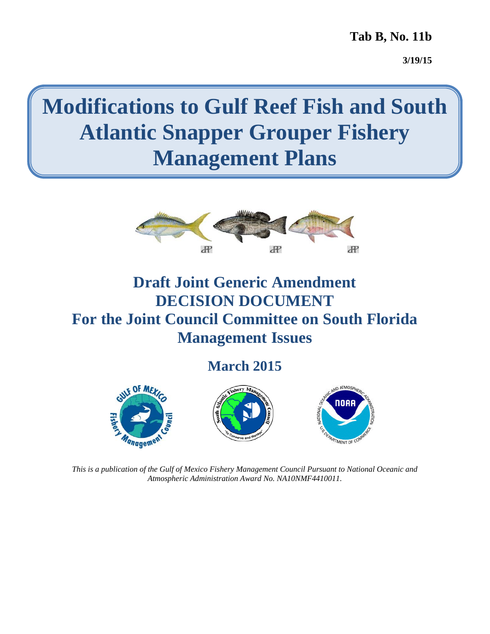#### **Tab B, No. 11b**

**3/19/15** 

# **Modifications to Gulf Reef Fish and South Atlantic Snapper Grouper Fishery Management Plans**



# **Draft Joint Generic Amendment DECISION DOCUMENT For the Joint Council Committee on South Florida Management Issues**

**March 2015** 



*This is a publication of the Gulf of Mexico Fishery Management Council Pursuant to National Oceanic and Atmospheric Administration Award No. NA10NMF4410011.*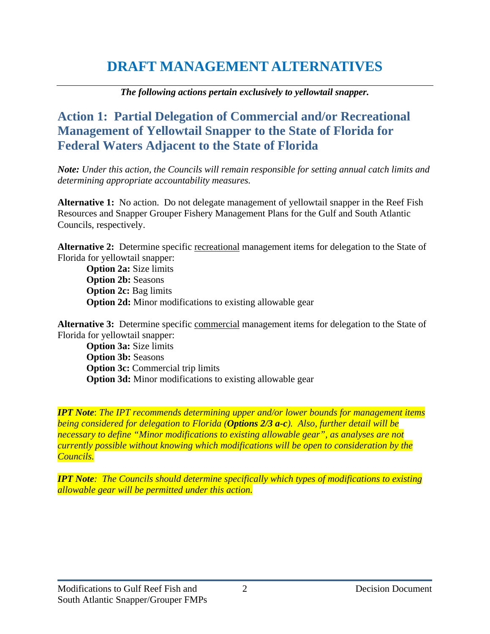# **DRAFT MANAGEMENT ALTERNATIVES**

#### *The following actions pertain exclusively to yellowtail snapper.*

### **Action 1: Partial Delegation of Commercial and/or Recreational Management of Yellowtail Snapper to the State of Florida for Federal Waters Adjacent to the State of Florida**

*Note: Under this action, the Councils will remain responsible for setting annual catch limits and determining appropriate accountability measures.*

**Alternative 1:** No action. Do not delegate management of yellowtail snapper in the Reef Fish Resources and Snapper Grouper Fishery Management Plans for the Gulf and South Atlantic Councils, respectively.

**Alternative 2:** Determine specific recreational management items for delegation to the State of Florida for yellowtail snapper:

**Option 2a:** Size limits **Option 2b:** Seasons **Option 2c:** Bag limits **Option 2d:** Minor modifications to existing allowable gear

**Alternative 3:** Determine specific commercial management items for delegation to the State of Florida for yellowtail snapper:

**Option 3a:** Size limits **Option 3b:** Seasons **Option 3c:** Commercial trip limits **Option 3d:** Minor modifications to existing allowable gear

*IPT Note*: *The IPT recommends determining upper and/or lower bounds for management items being considered for delegation to Florida (Options 2/3 a-c). Also, further detail will be necessary to define "Minor modifications to existing allowable gear", as analyses are not currently possible without knowing which modifications will be open to consideration by the Councils.* 

*IPT Note: The Councils should determine specifically which types of modifications to existing allowable gear will be permitted under this action.*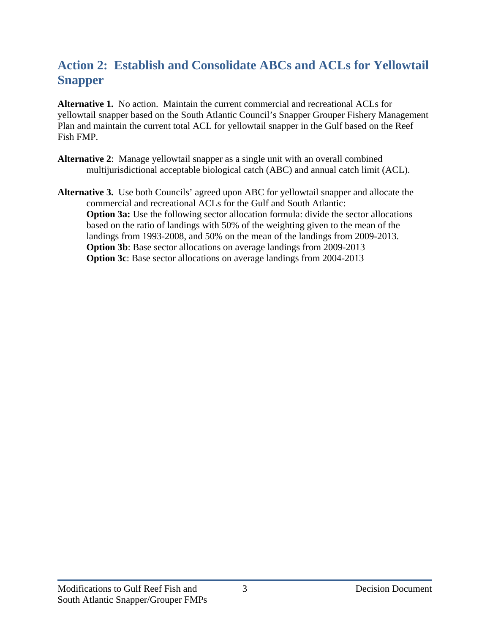## **Action 2: Establish and Consolidate ABCs and ACLs for Yellowtail Snapper**

**Alternative 1.** No action. Maintain the current commercial and recreational ACLs for yellowtail snapper based on the South Atlantic Council's Snapper Grouper Fishery Management Plan and maintain the current total ACL for yellowtail snapper in the Gulf based on the Reef Fish FMP.

- **Alternative 2**: Manage yellowtail snapper as a single unit with an overall combined multijurisdictional acceptable biological catch (ABC) and annual catch limit (ACL).
- **Alternative 3.** Use both Councils' agreed upon ABC for yellowtail snapper and allocate the commercial and recreational ACLs for the Gulf and South Atlantic: **Option 3a:** Use the following sector allocation formula: divide the sector allocations based on the ratio of landings with 50% of the weighting given to the mean of the landings from 1993-2008, and 50% on the mean of the landings from 2009-2013. **Option 3b**: Base sector allocations on average landings from 2009-2013 **Option 3c**: Base sector allocations on average landings from 2004-2013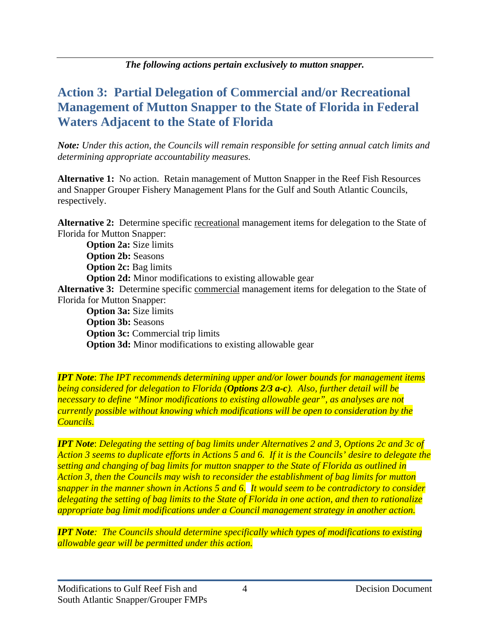## **Action 3: Partial Delegation of Commercial and/or Recreational Management of Mutton Snapper to the State of Florida in Federal Waters Adjacent to the State of Florida**

*Note: Under this action, the Councils will remain responsible for setting annual catch limits and determining appropriate accountability measures.*

**Alternative 1:** No action. Retain management of Mutton Snapper in the Reef Fish Resources and Snapper Grouper Fishery Management Plans for the Gulf and South Atlantic Councils, respectively.

**Alternative 2:** Determine specific recreational management items for delegation to the State of Florida for Mutton Snapper:

**Option 2a:** Size limits **Option 2b:** Seasons **Option 2c:** Bag limits **Option 2d:** Minor modifications to existing allowable gear **Alternative 3:** Determine specific commercial management items for delegation to the State of Florida for Mutton Snapper: **Option 3a:** Size limits **Option 3b:** Seasons

**Option 3c:** Commercial trip limits **Option 3d:** Minor modifications to existing allowable gear

*IPT Note*: *The IPT recommends determining upper and/or lower bounds for management items being considered for delegation to Florida (Options 2/3 a-c). Also, further detail will be necessary to define "Minor modifications to existing allowable gear", as analyses are not currently possible without knowing which modifications will be open to consideration by the Councils.*

*IPT Note*: *Delegating the setting of bag limits under Alternatives 2 and 3, Options 2c and 3c of Action 3 seems to duplicate efforts in Actions 5 and 6. If it is the Councils' desire to delegate the setting and changing of bag limits for mutton snapper to the State of Florida as outlined in Action 3, then the Councils may wish to reconsider the establishment of bag limits for mutton snapper in the manner shown in Actions 5 and 6. It would seem to be contradictory to consider delegating the setting of bag limits to the State of Florida in one action, and then to rationalize appropriate bag limit modifications under a Council management strategy in another action.* 

*IPT Note: The Councils should determine specifically which types of modifications to existing allowable gear will be permitted under this action.*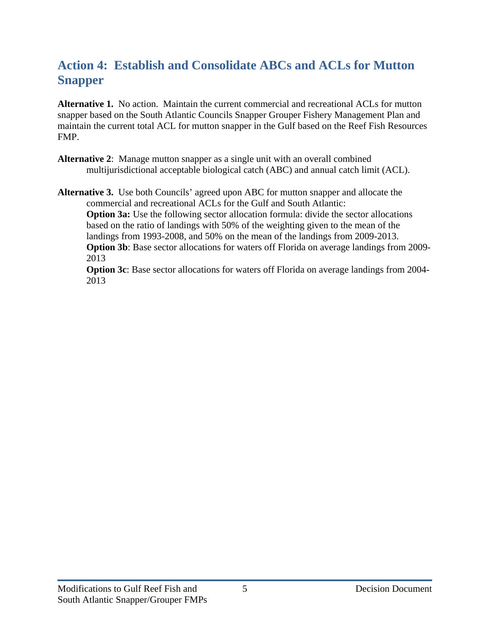## **Action 4: Establish and Consolidate ABCs and ACLs for Mutton Snapper**

**Alternative 1.** No action. Maintain the current commercial and recreational ACLs for mutton snapper based on the South Atlantic Councils Snapper Grouper Fishery Management Plan and maintain the current total ACL for mutton snapper in the Gulf based on the Reef Fish Resources FMP.

**Alternative 2**: Manage mutton snapper as a single unit with an overall combined multijurisdictional acceptable biological catch (ABC) and annual catch limit (ACL).

**Alternative 3.** Use both Councils' agreed upon ABC for mutton snapper and allocate the commercial and recreational ACLs for the Gulf and South Atlantic: **Option 3a:** Use the following sector allocation formula: divide the sector allocations based on the ratio of landings with 50% of the weighting given to the mean of the landings from 1993-2008, and 50% on the mean of the landings from 2009-2013. **Option 3b**: Base sector allocations for waters off Florida on average landings from 2009-2013

**Option 3c**: Base sector allocations for waters off Florida on average landings from 2004- 2013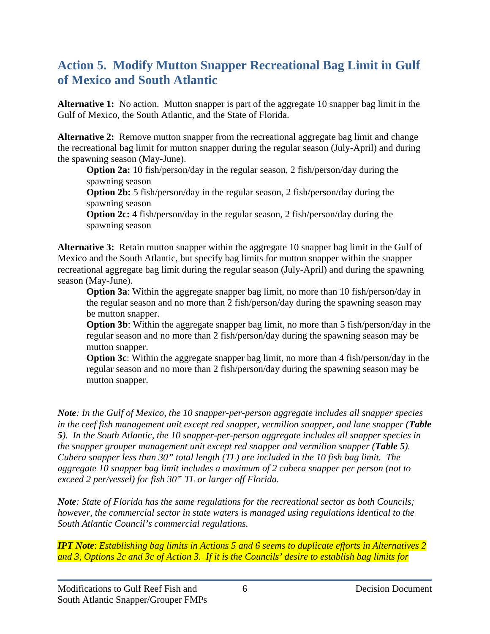### **Action 5. Modify Mutton Snapper Recreational Bag Limit in Gulf of Mexico and South Atlantic**

**Alternative 1:** No action. Mutton snapper is part of the aggregate 10 snapper bag limit in the Gulf of Mexico, the South Atlantic, and the State of Florida.

**Alternative 2:** Remove mutton snapper from the recreational aggregate bag limit and change the recreational bag limit for mutton snapper during the regular season (July-April) and during the spawning season (May-June).

**Option 2a:** 10 fish/person/day in the regular season, 2 fish/person/day during the spawning season

**Option 2b:** 5 fish/person/day in the regular season, 2 fish/person/day during the spawning season

**Option 2c:** 4 fish/person/day in the regular season, 2 fish/person/day during the spawning season

**Alternative 3:** Retain mutton snapper within the aggregate 10 snapper bag limit in the Gulf of Mexico and the South Atlantic, but specify bag limits for mutton snapper within the snapper recreational aggregate bag limit during the regular season (July-April) and during the spawning season (May-June).

**Option 3a**: Within the aggregate snapper bag limit, no more than 10 fish/person/day in the regular season and no more than 2 fish/person/day during the spawning season may be mutton snapper.

**Option 3b**: Within the aggregate snapper bag limit, no more than 5 fish/person/day in the regular season and no more than 2 fish/person/day during the spawning season may be mutton snapper.

**Option 3c**: Within the aggregate snapper bag limit, no more than 4 fish/person/day in the regular season and no more than 2 fish/person/day during the spawning season may be mutton snapper.

*Note: In the Gulf of Mexico, the 10 snapper-per-person aggregate includes all snapper species in the reef fish management unit except red snapper, vermilion snapper, and lane snapper (Table 5). In the South Atlantic, the 10 snapper-per-person aggregate includes all snapper species in the snapper grouper management unit except red snapper and vermilion snapper (Table 5). Cubera snapper less than 30" total length (TL) are included in the 10 fish bag limit. The aggregate 10 snapper bag limit includes a maximum of 2 cubera snapper per person (not to exceed 2 per/vessel) for fish 30" TL or larger off Florida.* 

*Note: State of Florida has the same regulations for the recreational sector as both Councils; however, the commercial sector in state waters is managed using regulations identical to the South Atlantic Council's commercial regulations.*

*IPT Note*: *Establishing bag limits in Actions 5 and 6 seems to duplicate efforts in Alternatives 2 and 3, Options 2c and 3c of Action 3. If it is the Councils' desire to establish bag limits for*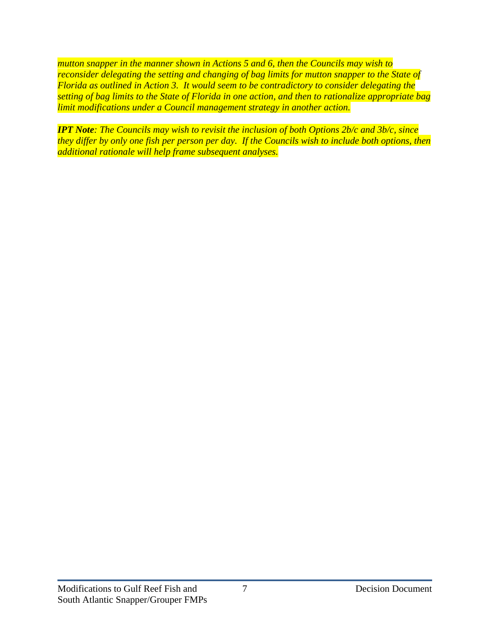*mutton snapper in the manner shown in Actions 5 and 6, then the Councils may wish to reconsider delegating the setting and changing of bag limits for mutton snapper to the State of Florida as outlined in Action 3. It would seem to be contradictory to consider delegating the setting of bag limits to the State of Florida in one action, and then to rationalize appropriate bag limit modifications under a Council management strategy in another action.* 

*IPT Note: The Councils may wish to revisit the inclusion of both Options 2b/c and 3b/c, since they differ by only one fish per person per day. If the Councils wish to include both options, then additional rationale will help frame subsequent analyses.*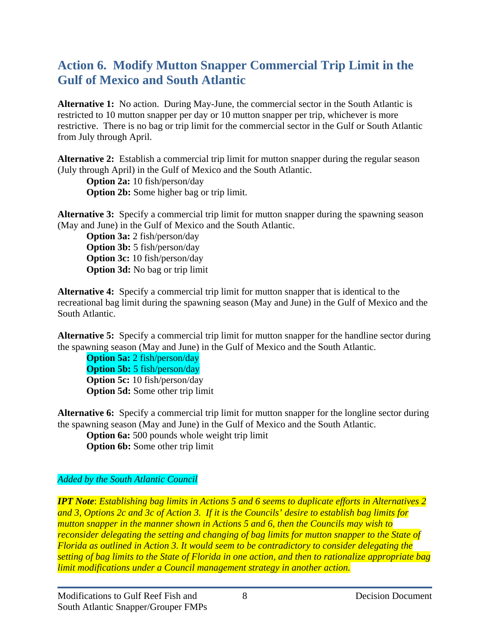## **Action 6. Modify Mutton Snapper Commercial Trip Limit in the Gulf of Mexico and South Atlantic**

**Alternative 1:** No action. During May-June, the commercial sector in the South Atlantic is restricted to 10 mutton snapper per day or 10 mutton snapper per trip, whichever is more restrictive. There is no bag or trip limit for the commercial sector in the Gulf or South Atlantic from July through April.

**Alternative 2:** Establish a commercial trip limit for mutton snapper during the regular season (July through April) in the Gulf of Mexico and the South Atlantic.

**Option 2a:** 10 fish/person/day **Option 2b:** Some higher bag or trip limit.

Alternative 3: Specify a commercial trip limit for mutton snapper during the spawning season (May and June) in the Gulf of Mexico and the South Atlantic.

**Option 3a:** 2 fish/person/day **Option 3b:** 5 fish/person/day **Option 3c:** 10 fish/person/day **Option 3d:** No bag or trip limit

**Alternative 4:** Specify a commercial trip limit for mutton snapper that is identical to the recreational bag limit during the spawning season (May and June) in the Gulf of Mexico and the South Atlantic.

**Alternative 5:** Specify a commercial trip limit for mutton snapper for the handline sector during the spawning season (May and June) in the Gulf of Mexico and the South Atlantic.

**Option 5a:** 2 fish/person/day **Option 5b:** 5 fish/person/day **Option 5c:** 10 fish/person/day **Option 5d:** Some other trip limit

**Alternative 6:** Specify a commercial trip limit for mutton snapper for the longline sector during the spawning season (May and June) in the Gulf of Mexico and the South Atlantic.

**Option 6a:** 500 pounds whole weight trip limit **Option 6b:** Some other trip limit

#### *Added by the South Atlantic Council*

*IPT Note*: *Establishing bag limits in Actions 5 and 6 seems to duplicate efforts in Alternatives 2 and 3, Options 2c and 3c of Action 3. If it is the Councils' desire to establish bag limits for mutton snapper in the manner shown in Actions 5 and 6, then the Councils may wish to reconsider delegating the setting and changing of bag limits for mutton snapper to the State of Florida as outlined in Action 3. It would seem to be contradictory to consider delegating the setting of bag limits to the State of Florida in one action, and then to rationalize appropriate bag limit modifications under a Council management strategy in another action.*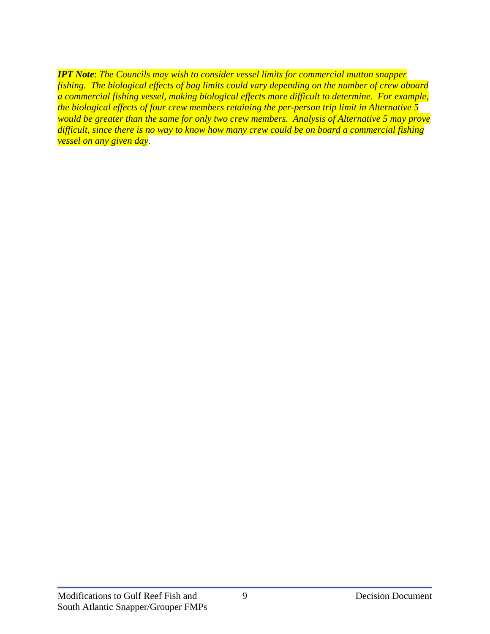*IPT Note*: *The Councils may wish to consider vessel limits for commercial mutton snapper fishing. The biological effects of bag limits could vary depending on the number of crew aboard a commercial fishing vessel, making biological effects more difficult to determine. For example, the biological effects of four crew members retaining the per-person trip limit in Alternative 5 would be greater than the same for only two crew members. Analysis of Alternative 5 may prove difficult, since there is no way to know how many crew could be on board a commercial fishing vessel on any given day.*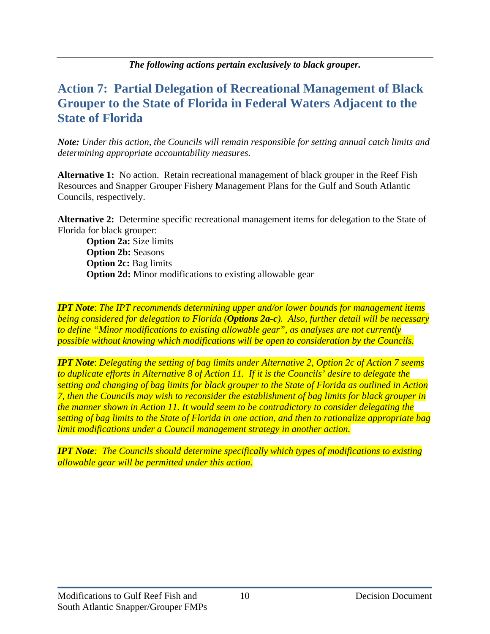### **Action 7: Partial Delegation of Recreational Management of Black Grouper to the State of Florida in Federal Waters Adjacent to the State of Florida**

*Note: Under this action, the Councils will remain responsible for setting annual catch limits and determining appropriate accountability measures.*

**Alternative 1:** No action. Retain recreational management of black grouper in the Reef Fish Resources and Snapper Grouper Fishery Management Plans for the Gulf and South Atlantic Councils, respectively.

**Alternative 2:** Determine specific recreational management items for delegation to the State of Florida for black grouper:

**Option 2a:** Size limits **Option 2b:** Seasons **Option 2c:** Bag limits **Option 2d:** Minor modifications to existing allowable gear

*IPT Note*: *The IPT recommends determining upper and/or lower bounds for management items being considered for delegation to Florida (Options 2a-c). Also, further detail will be necessary to define "Minor modifications to existing allowable gear", as analyses are not currently possible without knowing which modifications will be open to consideration by the Councils.*

*IPT Note*: *Delegating the setting of bag limits under Alternative 2, Option 2c of Action 7 seems to duplicate efforts in Alternative 8 of Action 11. If it is the Councils' desire to delegate the setting and changing of bag limits for black grouper to the State of Florida as outlined in Action 7, then the Councils may wish to reconsider the establishment of bag limits for black grouper in the manner shown in Action 11. It would seem to be contradictory to consider delegating the setting of bag limits to the State of Florida in one action, and then to rationalize appropriate bag limit modifications under a Council management strategy in another action.* 

*IPT Note: The Councils should determine specifically which types of modifications to existing allowable gear will be permitted under this action.*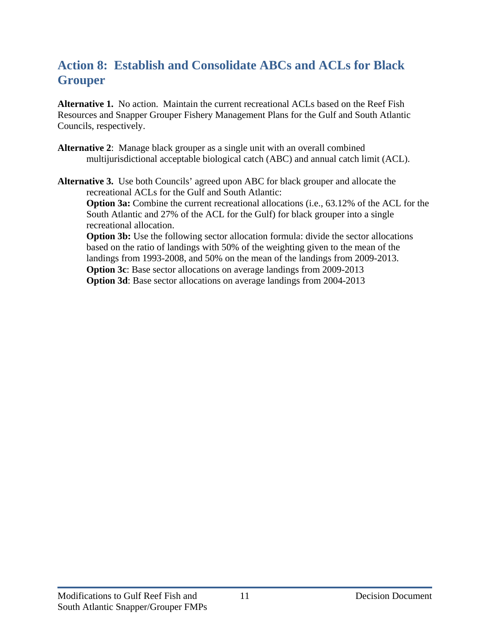## **Action 8: Establish and Consolidate ABCs and ACLs for Black Grouper**

**Alternative 1.** No action. Maintain the current recreational ACLs based on the Reef Fish Resources and Snapper Grouper Fishery Management Plans for the Gulf and South Atlantic Councils, respectively.

- **Alternative 2**: Manage black grouper as a single unit with an overall combined multijurisdictional acceptable biological catch (ABC) and annual catch limit (ACL).
- **Alternative 3.** Use both Councils' agreed upon ABC for black grouper and allocate the recreational ACLs for the Gulf and South Atlantic:

**Option 3a:** Combine the current recreational allocations (i.e., 63.12% of the ACL for the South Atlantic and 27% of the ACL for the Gulf) for black grouper into a single recreational allocation.

**Option 3b:** Use the following sector allocation formula: divide the sector allocations based on the ratio of landings with 50% of the weighting given to the mean of the landings from 1993-2008, and 50% on the mean of the landings from 2009-2013. **Option 3c**: Base sector allocations on average landings from 2009-2013 **Option 3d**: Base sector allocations on average landings from 2004-2013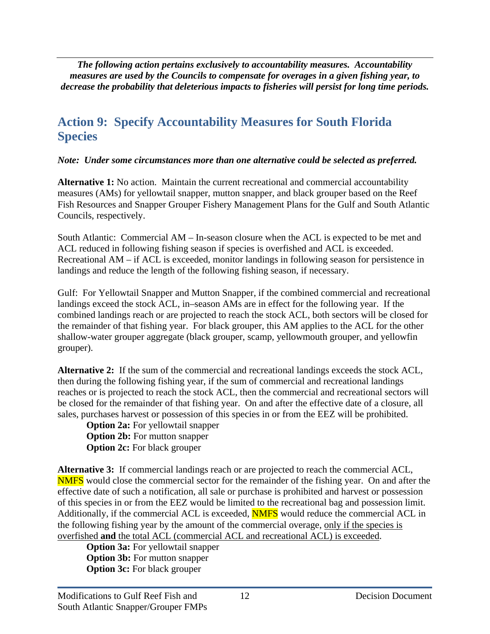*The following action pertains exclusively to accountability measures. Accountability measures are used by the Councils to compensate for overages in a given fishing year, to decrease the probability that deleterious impacts to fisheries will persist for long time periods.* 

#### **Action 9: Specify Accountability Measures for South Florida Species**

#### *Note: Under some circumstances more than one alternative could be selected as preferred.*

**Alternative 1:** No action. Maintain the current recreational and commercial accountability measures (AMs) for yellowtail snapper, mutton snapper, and black grouper based on the Reef Fish Resources and Snapper Grouper Fishery Management Plans for the Gulf and South Atlantic Councils, respectively.

South Atlantic: Commercial AM – In-season closure when the ACL is expected to be met and ACL reduced in following fishing season if species is overfished and ACL is exceeded. Recreational AM – if ACL is exceeded, monitor landings in following season for persistence in landings and reduce the length of the following fishing season, if necessary.

Gulf: For Yellowtail Snapper and Mutton Snapper, if the combined commercial and recreational landings exceed the stock ACL, in–season AMs are in effect for the following year. If the combined landings reach or are projected to reach the stock ACL, both sectors will be closed for the remainder of that fishing year. For black grouper, this AM applies to the ACL for the other shallow-water grouper aggregate (black grouper, scamp, yellowmouth grouper, and yellowfin grouper).

**Alternative 2:** If the sum of the commercial and recreational landings exceeds the stock ACL, then during the following fishing year, if the sum of commercial and recreational landings reaches or is projected to reach the stock ACL, then the commercial and recreational sectors will be closed for the remainder of that fishing year. On and after the effective date of a closure, all sales, purchases harvest or possession of this species in or from the EEZ will be prohibited.

**Option 2a:** For yellowtail snapper **Option 2b:** For mutton snapper **Option 2c:** For black grouper

**Alternative 3:** If commercial landings reach or are projected to reach the commercial ACL, NMFS would close the commercial sector for the remainder of the fishing year. On and after the effective date of such a notification, all sale or purchase is prohibited and harvest or possession of this species in or from the EEZ would be limited to the recreational bag and possession limit. Additionally, if the commercial ACL is exceeded, **NMFS** would reduce the commercial ACL in the following fishing year by the amount of the commercial overage, only if the species is overfished **and** the total ACL (commercial ACL and recreational ACL) is exceeded.

**Option 3a:** For yellowtail snapper **Option 3b:** For mutton snapper **Option 3c:** For black grouper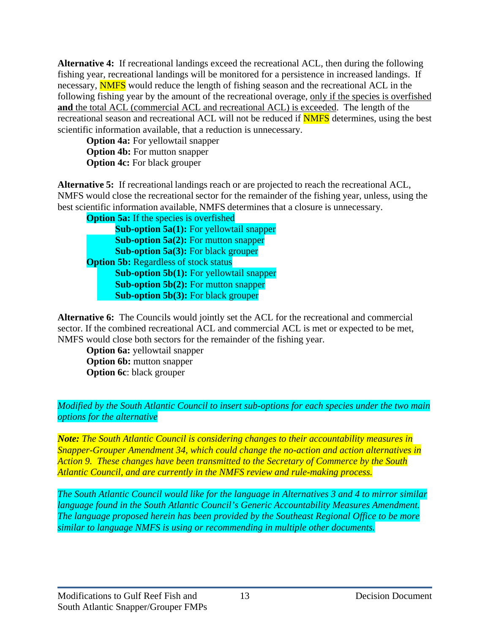**Alternative 4:** If recreational landings exceed the recreational ACL, then during the following fishing year, recreational landings will be monitored for a persistence in increased landings. If necessary, **NMFS** would reduce the length of fishing season and the recreational ACL in the following fishing year by the amount of the recreational overage, only if the species is overfished **and** the total ACL (commercial ACL and recreational ACL) is exceeded. The length of the recreational season and recreational ACL will not be reduced if **NMFS** determines, using the best scientific information available, that a reduction is unnecessary.

**Option 4a:** For yellowtail snapper **Option 4b:** For mutton snapper **Option 4c:** For black grouper

**Alternative 5:** If recreational landings reach or are projected to reach the recreational ACL, NMFS would close the recreational sector for the remainder of the fishing year, unless, using the best scientific information available, NMFS determines that a closure is unnecessary.

**Option 5a:** If the species is overfished **Sub-option 5a(1):** For yellowtail snapper **Sub-option 5a(2):** For mutton snapper **Sub-option 5a(3):** For black grouper **Option 5b:** Regardless of stock status **Sub-option 5b(1):** For yellowtail snapper **Sub-option 5b(2):** For mutton snapper **Sub-option 5b(3):** For black grouper

**Alternative 6:** The Councils would jointly set the ACL for the recreational and commercial sector. If the combined recreational ACL and commercial ACL is met or expected to be met, NMFS would close both sectors for the remainder of the fishing year.

**Option 6a:** yellowtail snapper **Option 6b:** mutton snapper **Option 6c**: black grouper

*Modified by the South Atlantic Council to insert sub-options for each species under the two main options for the alternative* 

*Note: The South Atlantic Council is considering changes to their accountability measures in Snapper-Grouper Amendment 34, which could change the no-action and action alternatives in Action 9. These changes have been transmitted to the Secretary of Commerce by the South Atlantic Council, and are currently in the NMFS review and rule-making process.* 

*The South Atlantic Council would like for the language in Alternatives 3 and 4 to mirror similar language found in the South Atlantic Council's Generic Accountability Measures Amendment. The language proposed herein has been provided by the Southeast Regional Office to be more similar to language NMFS is using or recommending in multiple other documents.*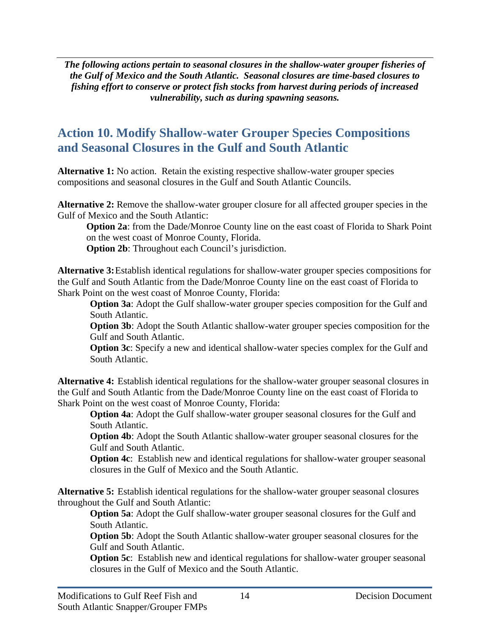*The following actions pertain to seasonal closures in the shallow-water grouper fisheries of the Gulf of Mexico and the South Atlantic. Seasonal closures are time-based closures to fishing effort to conserve or protect fish stocks from harvest during periods of increased vulnerability, such as during spawning seasons.* 

## **Action 10. Modify Shallow-water Grouper Species Compositions and Seasonal Closures in the Gulf and South Atlantic**

**Alternative 1:** No action. Retain the existing respective shallow-water grouper species compositions and seasonal closures in the Gulf and South Atlantic Councils.

**Alternative 2:** Remove the shallow-water grouper closure for all affected grouper species in the Gulf of Mexico and the South Atlantic:

**Option 2a**: from the Dade/Monroe County line on the east coast of Florida to Shark Point on the west coast of Monroe County, Florida.

**Option 2b:** Throughout each Council's jurisdiction.

**Alternative 3:** Establish identical regulations for shallow-water grouper species compositions for the Gulf and South Atlantic from the Dade/Monroe County line on the east coast of Florida to Shark Point on the west coast of Monroe County, Florida:

**Option 3a**: Adopt the Gulf shallow-water grouper species composition for the Gulf and South Atlantic.

**Option 3b**: Adopt the South Atlantic shallow-water grouper species composition for the Gulf and South Atlantic.

**Option 3c**: Specify a new and identical shallow-water species complex for the Gulf and South Atlantic.

**Alternative 4:** Establish identical regulations for the shallow-water grouper seasonal closures in the Gulf and South Atlantic from the Dade/Monroe County line on the east coast of Florida to Shark Point on the west coast of Monroe County, Florida:

**Option 4a**: Adopt the Gulf shallow-water grouper seasonal closures for the Gulf and South Atlantic.

**Option 4b**: Adopt the South Atlantic shallow-water grouper seasonal closures for the Gulf and South Atlantic.

**Option 4c**: Establish new and identical regulations for shallow-water grouper seasonal closures in the Gulf of Mexico and the South Atlantic.

**Alternative 5:** Establish identical regulations for the shallow-water grouper seasonal closures throughout the Gulf and South Atlantic:

**Option 5a**: Adopt the Gulf shallow-water grouper seasonal closures for the Gulf and South Atlantic.

**Option 5b**: Adopt the South Atlantic shallow-water grouper seasonal closures for the Gulf and South Atlantic.

**Option 5c**: Establish new and identical regulations for shallow-water grouper seasonal closures in the Gulf of Mexico and the South Atlantic.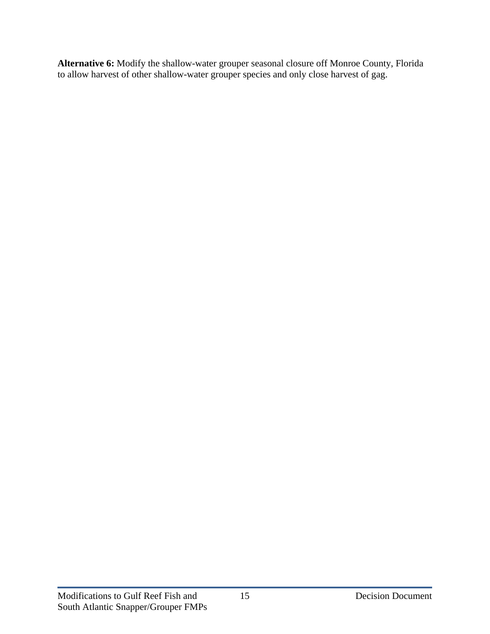**Alternative 6:** Modify the shallow-water grouper seasonal closure off Monroe County, Florida to allow harvest of other shallow-water grouper species and only close harvest of gag.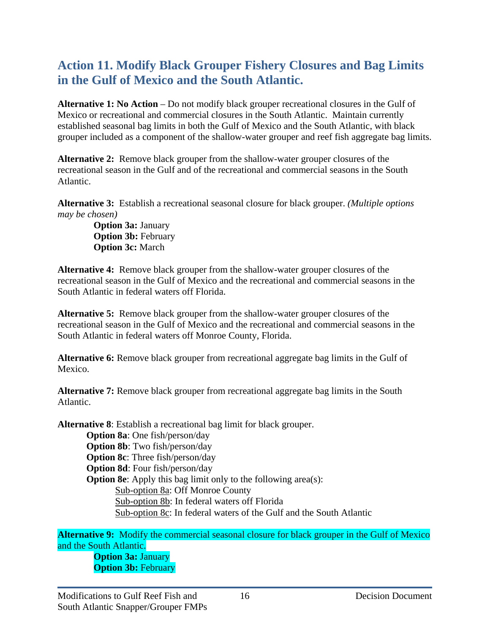## **Action 11. Modify Black Grouper Fishery Closures and Bag Limits in the Gulf of Mexico and the South Atlantic.**

**Alternative 1: No Action** – Do not modify black grouper recreational closures in the Gulf of Mexico or recreational and commercial closures in the South Atlantic. Maintain currently established seasonal bag limits in both the Gulf of Mexico and the South Atlantic, with black grouper included as a component of the shallow-water grouper and reef fish aggregate bag limits.

**Alternative 2:** Remove black grouper from the shallow-water grouper closures of the recreational season in the Gulf and of the recreational and commercial seasons in the South Atlantic.

**Alternative 3:** Establish a recreational seasonal closure for black grouper. *(Multiple options may be chosen)*

**Option 3a:** January **Option 3b:** February **Option 3c:** March

**Alternative 4:** Remove black grouper from the shallow-water grouper closures of the recreational season in the Gulf of Mexico and the recreational and commercial seasons in the South Atlantic in federal waters off Florida.

**Alternative 5:** Remove black grouper from the shallow-water grouper closures of the recreational season in the Gulf of Mexico and the recreational and commercial seasons in the South Atlantic in federal waters off Monroe County, Florida.

**Alternative 6:** Remove black grouper from recreational aggregate bag limits in the Gulf of Mexico.

**Alternative 7:** Remove black grouper from recreational aggregate bag limits in the South Atlantic.

**Alternative 8**: Establish a recreational bag limit for black grouper.

**Option 8a**: One fish/person/day **Option 8b**: Two fish/person/day **Option 8c**: Three fish/person/day **Option 8d**: Four fish/person/day **Option 8e**: Apply this bag limit only to the following area(s): Sub-option 8a: Off Monroe County Sub-option 8b: In federal waters off Florida Sub-option 8c: In federal waters of the Gulf and the South Atlantic

**Alternative 9:** Modify the commercial seasonal closure for black grouper in the Gulf of Mexico and the South Atlantic.

**Option 3a:** January **Option 3b:** February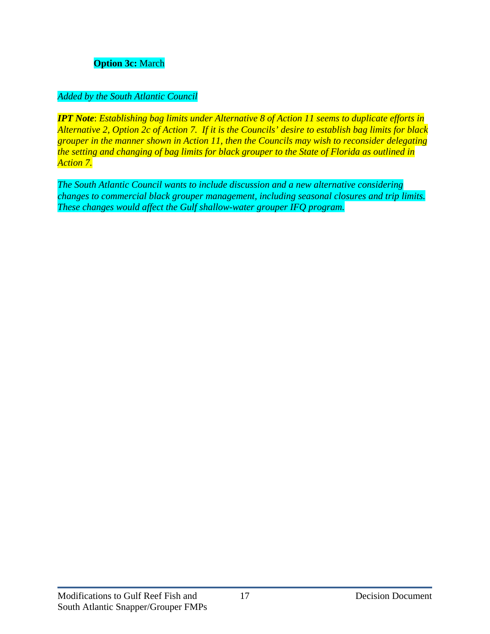**Option 3c:** March

#### *Added by the South Atlantic Council*

*IPT Note*: *Establishing bag limits under Alternative 8 of Action 11 seems to duplicate efforts in Alternative 2, Option 2c of Action 7. If it is the Councils' desire to establish bag limits for black grouper in the manner shown in Action 11, then the Councils may wish to reconsider delegating the setting and changing of bag limits for black grouper to the State of Florida as outlined in Action 7.* 

*The South Atlantic Council wants to include discussion and a new alternative considering changes to commercial black grouper management, including seasonal closures and trip limits. These changes would affect the Gulf shallow-water grouper IFQ program.*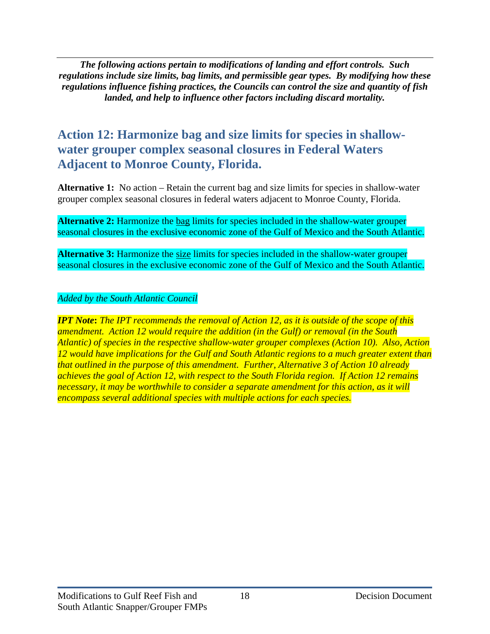*The following actions pertain to modifications of landing and effort controls. Such regulations include size limits, bag limits, and permissible gear types. By modifying how these regulations influence fishing practices, the Councils can control the size and quantity of fish landed, and help to influence other factors including discard mortality.* 

## **Action 12: Harmonize bag and size limits for species in shallowwater grouper complex seasonal closures in Federal Waters Adjacent to Monroe County, Florida.**

**Alternative 1:** No action – Retain the current bag and size limits for species in shallow-water grouper complex seasonal closures in federal waters adjacent to Monroe County, Florida.

**Alternative 2:** Harmonize the bag limits for species included in the shallow-water grouper seasonal closures in the exclusive economic zone of the Gulf of Mexico and the South Atlantic.

Alternative 3: Harmonize the size limits for species included in the shallow-water grouper seasonal closures in the exclusive economic zone of the Gulf of Mexico and the South Atlantic.

#### *Added by the South Atlantic Council*

*IPT Note***:** *The IPT recommends the removal of Action 12, as it is outside of the scope of this amendment. Action 12 would require the addition (in the Gulf) or removal (in the South Atlantic) of species in the respective shallow-water grouper complexes (Action 10). Also, Action 12 would have implications for the Gulf and South Atlantic regions to a much greater extent than that outlined in the purpose of this amendment. Further, Alternative 3 of Action 10 already achieves the goal of Action 12, with respect to the South Florida region. If Action 12 remains necessary, it may be worthwhile to consider a separate amendment for this action, as it will encompass several additional species with multiple actions for each species.*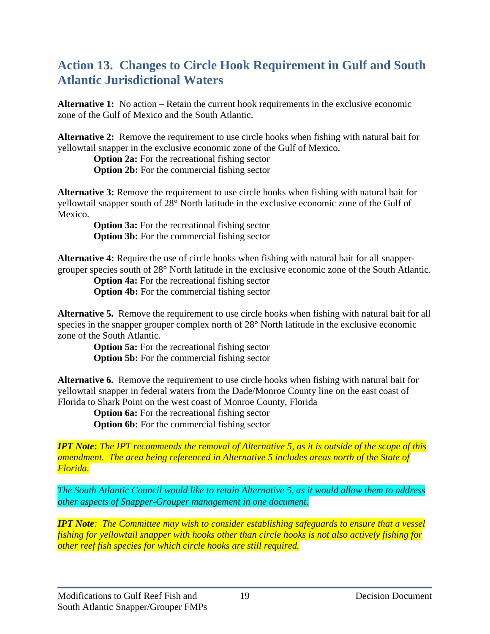### **Action 13. Changes to Circle Hook Requirement in Gulf and South Atlantic Jurisdictional Waters**

**Alternative 1:** No action – Retain the current hook requirements in the exclusive economic zone of the Gulf of Mexico and the South Atlantic.

**Alternative 2:** Remove the requirement to use circle hooks when fishing with natural bait for yellowtail snapper in the exclusive economic zone of the Gulf of Mexico.

**Option 2a:** For the recreational fishing sector **Option 2b:** For the commercial fishing sector

**Alternative 3:** Remove the requirement to use circle hooks when fishing with natural bait for yellowtail snapper south of 28° North latitude in the exclusive economic zone of the Gulf of Mexico.

**Option 3a:** For the recreational fishing sector **Option 3b:** For the commercial fishing sector

**Alternative 4:** Require the use of circle hooks when fishing with natural bait for all snappergrouper species south of 28° North latitude in the exclusive economic zone of the South Atlantic.

**Option 4a:** For the recreational fishing sector **Option 4b:** For the commercial fishing sector

**Alternative 5.** Remove the requirement to use circle hooks when fishing with natural bait for all species in the snapper grouper complex north of 28° North latitude in the exclusive economic zone of the South Atlantic.

**Option 5a:** For the recreational fishing sector **Option 5b:** For the commercial fishing sector

**Alternative 6.** Remove the requirement to use circle hooks when fishing with natural bait for yellowtail snapper in federal waters from the Dade/Monroe County line on the east coast of Florida to Shark Point on the west coast of Monroe County, Florida

**Option 6a:** For the recreational fishing sector **Option 6b:** For the commercial fishing sector

*IPT Note***:** *The IPT recommends the removal of Alternative 5, as it is outside of the scope of this amendment. The area being referenced in Alternative 5 includes areas north of the State of Florida.* 

*The South Atlantic Council would like to retain Alternative 5, as it would allow them to address other aspects of Snapper-Grouper management in one document.* 

*IPT Note: The Committee may wish to consider establishing safeguards to ensure that a vessel fishing for yellowtail snapper with hooks other than circle hooks is not also actively fishing for other reef fish species for which circle hooks are still required.*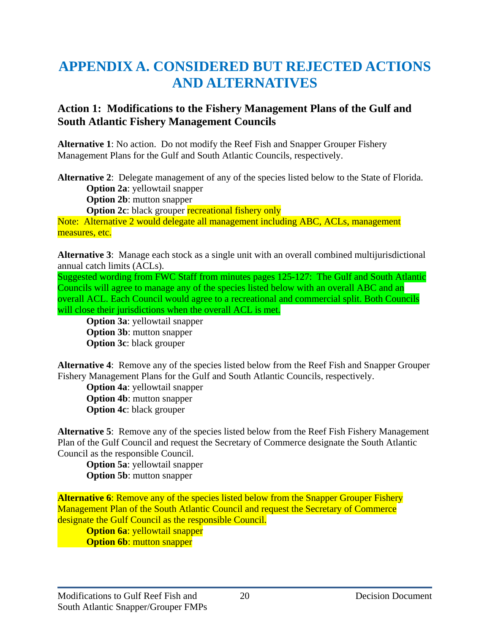# **APPENDIX A. CONSIDERED BUT REJECTED ACTIONS AND ALTERNATIVES**

#### **Action 1: Modifications to the Fishery Management Plans of the Gulf and South Atlantic Fishery Management Councils**

**Alternative 1**: No action. Do not modify the Reef Fish and Snapper Grouper Fishery Management Plans for the Gulf and South Atlantic Councils, respectively.

**Alternative 2**: Delegate management of any of the species listed below to the State of Florida. **Option 2a**: yellowtail snapper

**Option 2b:** mutton snapper

**Option 2c**: black grouper **recreational fishery only** 

Note: Alternative 2 would delegate all management including ABC, ACLs, management measures, etc.

**Alternative 3**: Manage each stock as a single unit with an overall combined multijurisdictional annual catch limits (ACLs).

Suggested wording from FWC Staff from minutes pages 125-127: The Gulf and South Atlantic Councils will agree to manage any of the species listed below with an overall ABC and an overall ACL. Each Council would agree to a recreational and commercial split. Both Councils will close their jurisdictions when the overall ACL is met.

**Option 3a**: yellowtail snapper **Option 3b**: mutton snapper **Option 3c**: black grouper

**Alternative 4**: Remove any of the species listed below from the Reef Fish and Snapper Grouper Fishery Management Plans for the Gulf and South Atlantic Councils, respectively.

**Option 4a**: yellowtail snapper **Option 4b**: mutton snapper **Option 4c**: black grouper

**Alternative 5**: Remove any of the species listed below from the Reef Fish Fishery Management Plan of the Gulf Council and request the Secretary of Commerce designate the South Atlantic Council as the responsible Council.

**Option 5a**: yellowtail snapper **Option 5b**: mutton snapper

**Alternative 6:** Remove any of the species listed below from the Snapper Grouper Fishery Management Plan of the South Atlantic Council and request the Secretary of Commerce designate the Gulf Council as the responsible Council.

**Option 6a: yellowtail snapper Option 6b: mutton snapper**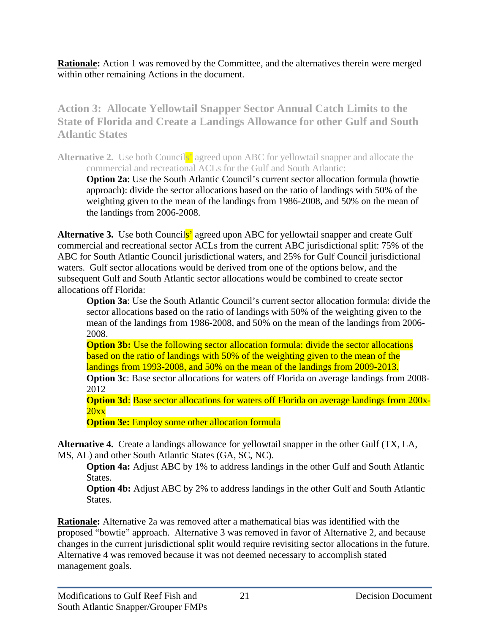**Rationale:** Action 1 was removed by the Committee, and the alternatives therein were merged within other remaining Actions in the document.

**Action 3: Allocate Yellowtail Snapper Sector Annual Catch Limits to the State of Florida and Create a Landings Allowance for other Gulf and South Atlantic States** 

Alternative 2. Use both Councils' agreed upon ABC for yellowtail snapper and allocate the commercial and recreational ACLs for the Gulf and South Atlantic:

**Option 2a**: Use the South Atlantic Council's current sector allocation formula (bowtie approach): divide the sector allocations based on the ratio of landings with 50% of the weighting given to the mean of the landings from 1986-2008, and 50% on the mean of the landings from 2006-2008.

Alternative 3. Use both Councils' agreed upon ABC for yellowtail snapper and create Gulf commercial and recreational sector ACLs from the current ABC jurisdictional split: 75% of the ABC for South Atlantic Council jurisdictional waters, and 25% for Gulf Council jurisdictional waters. Gulf sector allocations would be derived from one of the options below, and the subsequent Gulf and South Atlantic sector allocations would be combined to create sector allocations off Florida:

**Option 3a**: Use the South Atlantic Council's current sector allocation formula: divide the sector allocations based on the ratio of landings with 50% of the weighting given to the mean of the landings from 1986-2008, and 50% on the mean of the landings from 2006- 2008.

**Option 3b:** Use the following sector allocation formula: divide the sector allocations based on the ratio of landings with 50% of the weighting given to the mean of the landings from 1993-2008, and 50% on the mean of the landings from 2009-2013. **Option 3c**: Base sector allocations for waters off Florida on average landings from 2008-

2012

**Option 3d:** Base sector allocations for waters off Florida on average landings from 200x-20xx

**Option 3e:** Employ some other allocation formula

**Alternative 4.** Create a landings allowance for yellowtail snapper in the other Gulf (TX, LA, MS, AL) and other South Atlantic States (GA, SC, NC).

**Option 4a:** Adjust ABC by 1% to address landings in the other Gulf and South Atlantic States.

**Option 4b:** Adjust ABC by 2% to address landings in the other Gulf and South Atlantic States.

**Rationale:** Alternative 2a was removed after a mathematical bias was identified with the proposed "bowtie" approach. Alternative 3 was removed in favor of Alternative 2, and because changes in the current jurisdictional split would require revisiting sector allocations in the future. Alternative 4 was removed because it was not deemed necessary to accomplish stated management goals.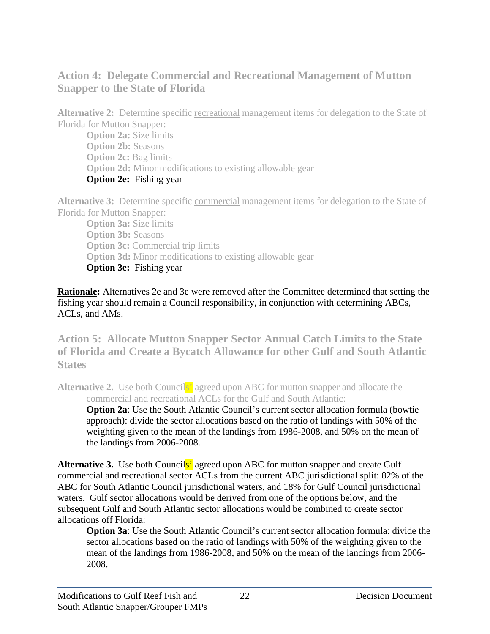#### **Action 4: Delegate Commercial and Recreational Management of Mutton Snapper to the State of Florida**

Alternative 2: Determine specific recreational management items for delegation to the State of Florida for Mutton Snapper:

**Option 2a:** Size limits **Option 2b:** Seasons **Option 2c:** Bag limits **Option 2d:** Minor modifications to existing allowable gear **Option 2e:** Fishing year

**Alternative 3:** Determine specific commercial management items for delegation to the State of Florida for Mutton Snapper:

**Option 3a:** Size limits **Option 3b:** Seasons **Option 3c:** Commercial trip limits **Option 3d:** Minor modifications to existing allowable gear **Option 3e:** Fishing year

**Rationale:** Alternatives 2e and 3e were removed after the Committee determined that setting the fishing year should remain a Council responsibility, in conjunction with determining ABCs, ACLs, and AMs.

**Action 5: Allocate Mutton Snapper Sector Annual Catch Limits to the State of Florida and Create a Bycatch Allowance for other Gulf and South Atlantic States** 

Alternative 2. Use both Councils<sup>'</sup> agreed upon ABC for mutton snapper and allocate the commercial and recreational ACLs for the Gulf and South Atlantic:

**Option 2a**: Use the South Atlantic Council's current sector allocation formula (bowtie approach): divide the sector allocations based on the ratio of landings with 50% of the weighting given to the mean of the landings from 1986-2008, and 50% on the mean of the landings from 2006-2008.

Alternative 3. Use both Councils' agreed upon ABC for mutton snapper and create Gulf commercial and recreational sector ACLs from the current ABC jurisdictional split: 82% of the ABC for South Atlantic Council jurisdictional waters, and 18% for Gulf Council jurisdictional waters. Gulf sector allocations would be derived from one of the options below, and the subsequent Gulf and South Atlantic sector allocations would be combined to create sector allocations off Florida:

**Option 3a**: Use the South Atlantic Council's current sector allocation formula: divide the sector allocations based on the ratio of landings with 50% of the weighting given to the mean of the landings from 1986-2008, and 50% on the mean of the landings from 2006- 2008.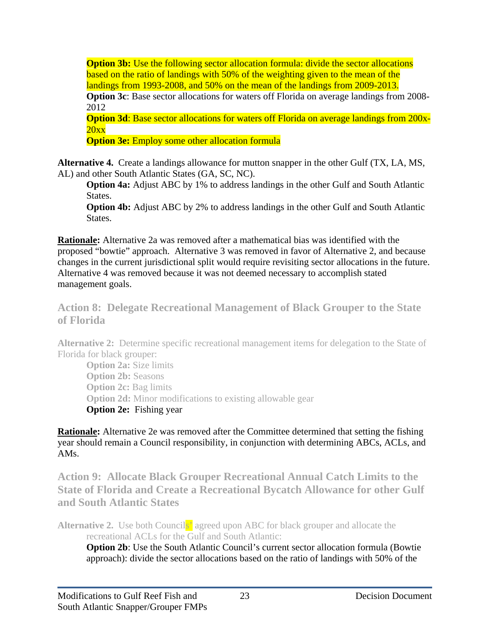**Option 3b:** Use the following sector allocation formula: divide the sector allocations based on the ratio of landings with 50% of the weighting given to the mean of the landings from 1993-2008, and 50% on the mean of the landings from 2009-2013. **Option 3c**: Base sector allocations for waters off Florida on average landings from 2008- 2012 **Option 3d:** Base sector allocations for waters off Florida on average landings from 200x-

20xx

**Option 3e:** Employ some other allocation formula

**Alternative 4.** Create a landings allowance for mutton snapper in the other Gulf (TX, LA, MS, AL) and other South Atlantic States (GA, SC, NC).

**Option 4a:** Adjust ABC by 1% to address landings in the other Gulf and South Atlantic States.

**Option 4b:** Adjust ABC by 2% to address landings in the other Gulf and South Atlantic States.

**Rationale:** Alternative 2a was removed after a mathematical bias was identified with the proposed "bowtie" approach. Alternative 3 was removed in favor of Alternative 2, and because changes in the current jurisdictional split would require revisiting sector allocations in the future. Alternative 4 was removed because it was not deemed necessary to accomplish stated management goals.

#### **Action 8: Delegate Recreational Management of Black Grouper to the State of Florida**

**Alternative 2:** Determine specific recreational management items for delegation to the State of Florida for black grouper:

**Option 2a:** Size limits **Option 2b:** Seasons **Option 2c:** Bag limits **Option 2d:** Minor modifications to existing allowable gear **Option 2e:** Fishing year

**Rationale:** Alternative 2e was removed after the Committee determined that setting the fishing year should remain a Council responsibility, in conjunction with determining ABCs, ACLs, and AMs.

**Action 9: Allocate Black Grouper Recreational Annual Catch Limits to the State of Florida and Create a Recreational Bycatch Allowance for other Gulf and South Atlantic States** 

**Alternative 2.** Use both Councils' agreed upon ABC for black grouper and allocate the recreational ACLs for the Gulf and South Atlantic:

**Option 2b**: Use the South Atlantic Council's current sector allocation formula (Bowtie) approach): divide the sector allocations based on the ratio of landings with 50% of the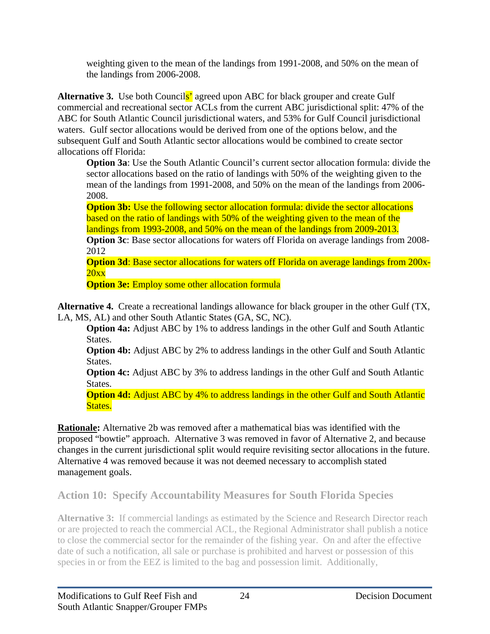weighting given to the mean of the landings from 1991-2008, and 50% on the mean of the landings from 2006-2008.

Alternative 3. Use both Councils' agreed upon ABC for black grouper and create Gulf commercial and recreational sector ACLs from the current ABC jurisdictional split: 47% of the ABC for South Atlantic Council jurisdictional waters, and 53% for Gulf Council jurisdictional waters. Gulf sector allocations would be derived from one of the options below, and the subsequent Gulf and South Atlantic sector allocations would be combined to create sector allocations off Florida:

**Option 3a**: Use the South Atlantic Council's current sector allocation formula: divide the sector allocations based on the ratio of landings with 50% of the weighting given to the mean of the landings from 1991-2008, and 50% on the mean of the landings from 2006- 2008.

**Option 3b:** Use the following sector allocation formula: divide the sector allocations based on the ratio of landings with 50% of the weighting given to the mean of the landings from 1993-2008, and 50% on the mean of the landings from 2009-2013. **Option 3c**: Base sector allocations for waters off Florida on average landings from 2008-2012

**Option 3d:** Base sector allocations for waters off Florida on average landings from 200x- $20xx$ 

**Option 3e:** Employ some other allocation formula

**Alternative 4.** Create a recreational landings allowance for black grouper in the other Gulf (TX, LA, MS, AL) and other South Atlantic States (GA, SC, NC).

**Option 4a:** Adjust ABC by 1% to address landings in the other Gulf and South Atlantic States.

**Option 4b:** Adjust ABC by 2% to address landings in the other Gulf and South Atlantic States.

**Option 4c:** Adjust ABC by 3% to address landings in the other Gulf and South Atlantic States.

**Option 4d:** Adjust ABC by 4% to address landings in the other Gulf and South Atlantic States.

**Rationale:** Alternative 2b was removed after a mathematical bias was identified with the proposed "bowtie" approach. Alternative 3 was removed in favor of Alternative 2, and because changes in the current jurisdictional split would require revisiting sector allocations in the future. Alternative 4 was removed because it was not deemed necessary to accomplish stated management goals.

**Action 10: Specify Accountability Measures for South Florida Species** 

**Alternative 3:** If commercial landings as estimated by the Science and Research Director reach or are projected to reach the commercial ACL, the Regional Administrator shall publish a notice to close the commercial sector for the remainder of the fishing year. On and after the effective date of such a notification, all sale or purchase is prohibited and harvest or possession of this species in or from the EEZ is limited to the bag and possession limit. Additionally,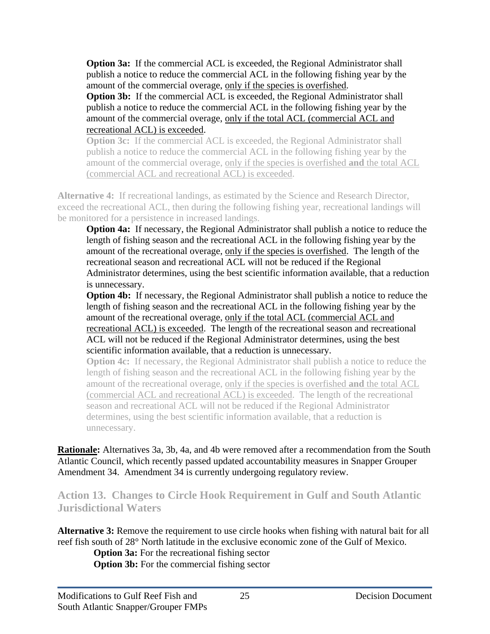**Option 3a:** If the commercial ACL is exceeded, the Regional Administrator shall publish a notice to reduce the commercial ACL in the following fishing year by the amount of the commercial overage, only if the species is overfished.

**Option 3b:** If the commercial ACL is exceeded, the Regional Administrator shall publish a notice to reduce the commercial ACL in the following fishing year by the amount of the commercial overage, only if the total ACL (commercial ACL and recreational ACL) is exceeded.

**Option 3c:** If the commercial ACL is exceeded, the Regional Administrator shall publish a notice to reduce the commercial ACL in the following fishing year by the amount of the commercial overage, only if the species is overfished **and** the total ACL (commercial ACL and recreational ACL) is exceeded.

**Alternative 4:** If recreational landings, as estimated by the Science and Research Director, exceed the recreational ACL, then during the following fishing year, recreational landings will be monitored for a persistence in increased landings.

**Option 4a:** If necessary, the Regional Administrator shall publish a notice to reduce the length of fishing season and the recreational ACL in the following fishing year by the amount of the recreational overage, only if the species is overfished. The length of the recreational season and recreational ACL will not be reduced if the Regional Administrator determines, using the best scientific information available, that a reduction is unnecessary.

**Option 4b:** If necessary, the Regional Administrator shall publish a notice to reduce the length of fishing season and the recreational ACL in the following fishing year by the amount of the recreational overage, only if the total ACL (commercial ACL and recreational ACL) is exceeded. The length of the recreational season and recreational ACL will not be reduced if the Regional Administrator determines, using the best scientific information available, that a reduction is unnecessary.

**Option 4c:** If necessary, the Regional Administrator shall publish a notice to reduce the length of fishing season and the recreational ACL in the following fishing year by the amount of the recreational overage, only if the species is overfished **and** the total ACL (commercial ACL and recreational ACL) is exceeded. The length of the recreational season and recreational ACL will not be reduced if the Regional Administrator determines, using the best scientific information available, that a reduction is unnecessary.

**Rationale:** Alternatives 3a, 3b, 4a, and 4b were removed after a recommendation from the South Atlantic Council, which recently passed updated accountability measures in Snapper Grouper Amendment 34. Amendment 34 is currently undergoing regulatory review.

**Action 13. Changes to Circle Hook Requirement in Gulf and South Atlantic Jurisdictional Waters**

**Alternative 3:** Remove the requirement to use circle hooks when fishing with natural bait for all reef fish south of 28° North latitude in the exclusive economic zone of the Gulf of Mexico.

**Option 3a:** For the recreational fishing sector

**Option 3b:** For the commercial fishing sector